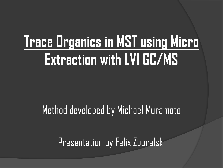# **Trace Organics in MST using Micro Extraction with LVI GC/MS**

### Method developed by Michael Muramoto

Presentation by Felix Zboralski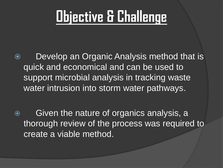# **Objective & Challenge**

- Develop an Organic Analysis method that is quick and economical and can be used to support microbial analysis in tracking waste water intrusion into storm water pathways.
- Given the nature of organics analysis, a thorough review of the process was required to create a viable method.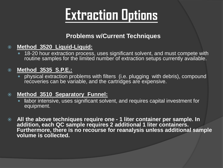### **Extraction Options**

#### **Problems w/Current Techniques**

#### **Method 3520 Liquid-Liquid:**

 18-20 hour extraction process, uses significant solvent, and must compete with routine samples for the limited number of extraction setups currently available.

#### **Method 3535 S.P.E.:**

 physical extraction problems with filters (i.e. plugging with debris), compound recoveries can be variable, and the cartridges are expensive.

#### **Method 3510 Separatory Funnel:**

- **l**abor intensive, uses significant solvent, and requires capital investment for equipment.
- **All the above techniques require one - 1 liter container per sample. In addition, each QC sample requires 2 additional 1 liter containers. Furthermore, there is no recourse for reanalysis unless additional sample volume is collected.**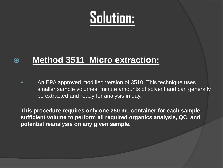### **Solution**:

#### **Method 3511 Micro extraction:**

• An EPA approved modified version of 3510. This technique uses smaller sample volumes, minute amounts of solvent and can generally be extracted and ready for analysis in day.

**This procedure requires only one 250 mL container for each samplesufficient volume to perform all required organics analysis, QC, and potential reanalysis on any given sample.**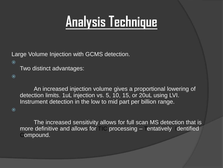### **Analysis Technique**

Large Volume Injection with GCMS detection.

 $\odot$ 

Two distinct advantages:

 $\odot$ 

An increased injection volume gives a proportional lowering of detection limits. 1uL injection vs. 5, 10, 15, or 20uL using LVI. Instrument detection in the low to mid part per billion range.

 $\odot$ 

The increased sensitivity allows for full scan MS detection that is more definitive and allows for  $\Box C$  processing  $-$  entatively Identified Compound.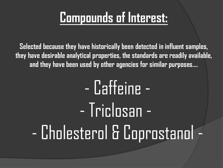### **Compounds of Interest:**

**Selected because they have historically been detected in influent samples, they have desirable analytical properties, the standards are readily available, and they have been used by other agencies for similar purposes….**

# - Caffeine - - Triclosan - - Cholesterol & Coprostanol -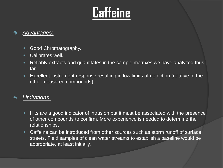### **Caffeine**

#### *Advantages:*

- **Good Chromatography.**
- Calibrates well.
- Reliably extracts and quantitates in the sample matrixes we have analyzed thus far.
- Excellent instrument response resulting in low limits of detection (relative to the other measured compounds).

#### *Limitations:*

- Hits are a good indicator of intrusion but it must be associated with the presence of other compounds to confirm. More experience is needed to determine the relationships.
- Caffeine can be introduced from other sources such as storm runoff of surface streets. Field samples of clean water streams to establish a baseline would be appropriate, at least initially.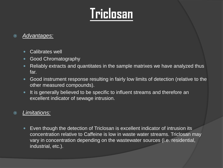### **Triclosan**

#### *Advantages:*

- Calibrates well
- Good Chromatography
- Reliably extracts and quantitates in the sample matrixes we have analyzed thus far.
- Good instrument response resulting in fairly low limits of detection (relative to the other measured compounds).
- It is generally believed to be specific to influent streams and therefore an excellent indicator of sewage intrusion.

#### *Limitations:*

 Even though the detection of Triclosan is excellent indicator of intrusion its concentration relative to Caffeine is low in waste water streams. Triclosan may vary in concentration depending on the wastewater sources (i.e. residential, industrial, etc.).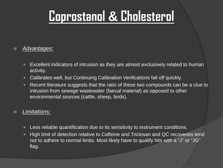### **Coprostanol & Cholesterol**

#### *Advantages:*

- Excellent indicators of intrusion as they are almost exclusively related to human activity.
- Calibrates well, but Continuing Calibration Verifications fall off quickly.
- Recent literature suggests that the ratio of these two compounds can be a clue to intrusion from sewage wastewater (faecal material) as opposed to other environmental sources (cattle, sheep, birds).

#### *Limitations:*

- Less reliable quantification due to its sensitivity to instrument conditions.
- High limit of detection relative to Caffeine and Triclosan and QC recoveries tend not to adhere to normal limits. Most likely have to qualify hits with a "J" or "JG" flag.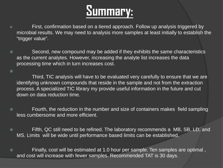### **Summary:**

- First, confirmation based on a tiered approach. Follow up analysis triggered by microbial results. We may need to analysis more samples at least initially to establish the "trigger value".
- Second, new compound may be added if they exhibits the same characteristics as the current analytes. However, increasing the analyte list increases the data processing time which in turn increases cost.

 $\odot$ 

Third, TIC analysis will have to be evaluated very carefully to ensure that we are identifying unknown compounds that reside in the sample and not from the extraction process. A specialized TIC library my provide useful information in the future and cut down on data reduction time.

- Fourth, the reduction in the number and size of containers makes field sampling less cumbersome and more efficient.
- Fifth, QC still need to be refined. The laboratory recommends a MB, SB, LD, and MS. Limits will be wide until performance based limits can be established.
- Finally, cost will be estimated at 1.0 hour per sample. Ten samples are optimal , and cost will increase with fewer samples. Recommended TAT is 30 days.